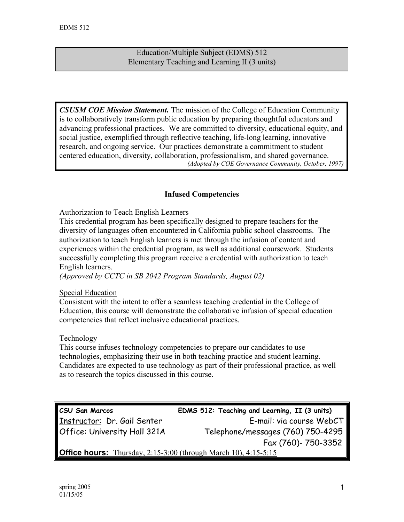### Education/Multiple Subject (EDMS) 512 Elementary Teaching and Learning II (3 units)

*CSUSM COE Mission Statement.* The mission of the College of Education Community is to collaboratively transform public education by preparing thoughtful educators and advancing professional practices. We are committed to diversity, educational equity, and social justice, exemplified through reflective teaching, life-long learning, innovative research, and ongoing service. Our practices demonstrate a commitment to student centered education, diversity, collaboration, professionalism, and shared governance. *(Adopted by COE Governance Community, October, 1997)*

## **Infused Competencies**

#### Authorization to Teach English Learners

This credential program has been specifically designed to prepare teachers for the diversity of languages often encountered in California public school classrooms. The authorization to teach English learners is met through the infusion of content and experiences within the credential program, as well as additional coursework. Students successfully completing this program receive a credential with authorization to teach English learners.

*(Approved by CCTC in SB 2042 Program Standards, August 02)*

### Special Education

Consistent with the intent to offer a seamless teaching credential in the College of Education, this course will demonstrate the collaborative infusion of special education competencies that reflect inclusive educational practices.

#### Technology

This course infuses technology competencies to prepare our candidates to use technologies, emphasizing their use in both teaching practice and student learning. Candidates are expected to use technology as part of their professional practice, as well as to research the topics discussed in this course.

# **CSU San Marcos EDMS 512: Teaching and Learning, II (3 units)**  Instructor: Dr. Gail Senter E-mail: via course WebCT Office: University Hall 321A Telephone/messages (760) 750-4295 Fax (760)- 750-3352 **Office hours:** Thursday, 2:15-3:00 (through March 10), 4:15-5:15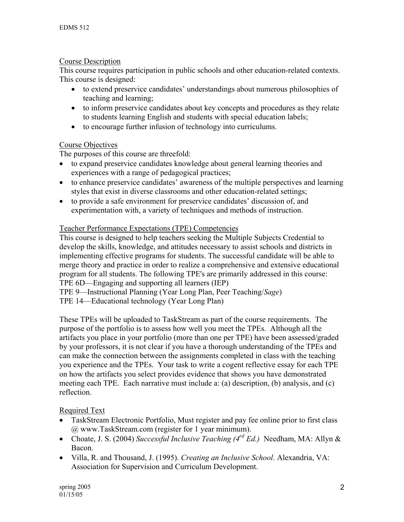### Course Description

This course requires participation in public schools and other education-related contexts. This course is designed:

- to extend preservice candidates' understandings about numerous philosophies of teaching and learning;
- to inform preservice candidates about key concepts and procedures as they relate to students learning English and students with special education labels;
- to encourage further infusion of technology into curriculums.

### Course Objectives

The purposes of this course are threefold:

- to expand preservice candidates knowledge about general learning theories and experiences with a range of pedagogical practices;
- to enhance preservice candidates' awareness of the multiple perspectives and learning styles that exist in diverse classrooms and other education-related settings;
- to provide a safe environment for preservice candidates' discussion of, and experimentation with, a variety of techniques and methods of instruction.

## Teacher Performance Expectations (TPE) Competencies

This course is designed to help teachers seeking the Multiple Subjects Credential to develop the skills, knowledge, and attitudes necessary to assist schools and districts in implementing effective programs for students. The successful candidate will be able to merge theory and practice in order to realize a comprehensive and extensive educational program for all students. The following TPE's are primarily addressed in this course: TPE 6D—Engaging and supporting all learners (IEP)

TPE 9—Instructional Planning (Year Long Plan, Peer Teaching/*Sage*)

TPE 14—Educational technology (Year Long Plan)

These TPEs will be uploaded to TaskStream as part of the course requirements. The purpose of the portfolio is to assess how well you meet the TPEs. Although all the artifacts you place in your portfolio (more than one per TPE) have been assessed/graded by your professors, it is not clear if you have a thorough understanding of the TPEs and can make the connection between the assignments completed in class with the teaching you experience and the TPEs. Your task to write a cogent reflective essay for each TPE on how the artifacts you select provides evidence that shows you have demonstrated meeting each TPE. Each narrative must include a: (a) description, (b) analysis, and (c) reflection.

# Required Text

- TaskStream Electronic Portfolio, Must register and pay fee online prior to first class @ www.TaskStream.com (register for 1 year minimum).
- Choate, J. S. (2004) *Successful Inclusive Teaching (4rd Ed.)* Needham, MA: Allyn & Bacon.
- Villa, R. and Thousand, J. (1995). *Creating an Inclusive School*. Alexandria, VA: Association for Supervision and Curriculum Development.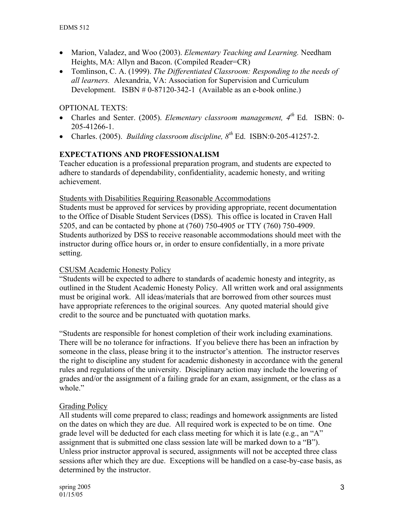- Marion, Valadez, and Woo (2003). *Elementary Teaching and Learning.* Needham Heights, MA: Allyn and Bacon. (Compiled Reader=CR)
- Tomlinson, C. A. (1999). *The Differentiated Classroom: Responding to the needs of all learners.* Alexandria, VA: Association for Supervision and Curriculum Development. ISBN # 0-87120-342-1 (Available as an e-book online.)

OPTIONAL TEXTS:

- Charles and Senter. (2005). *Elementary classroom management, 4th* Ed. ISBN: 0- 205-41266-1.
- Charles. (2005). *Building classroom discipline*,  $8^{th}$  Ed. ISBN:0-205-41257-2.

# **EXPECTATIONS AND PROFESSIONALISM**

Teacher education is a professional preparation program, and students are expected to adhere to standards of dependability, confidentiality, academic honesty, and writing achievement.

#### Students with Disabilities Requiring Reasonable Accommodations

Students must be approved for services by providing appropriate, recent documentation to the Office of Disable Student Services (DSS). This office is located in Craven Hall 5205, and can be contacted by phone at (760) 750-4905 or TTY (760) 750-4909. Students authorized by DSS to receive reasonable accommodations should meet with the instructor during office hours or, in order to ensure confidentially, in a more private setting.

### CSUSM Academic Honesty Policy

"Students will be expected to adhere to standards of academic honesty and integrity, as outlined in the Student Academic Honesty Policy. All written work and oral assignments must be original work. All ideas/materials that are borrowed from other sources must have appropriate references to the original sources. Any quoted material should give credit to the source and be punctuated with quotation marks.

"Students are responsible for honest completion of their work including examinations. There will be no tolerance for infractions. If you believe there has been an infraction by someone in the class, please bring it to the instructor's attention. The instructor reserves the right to discipline any student for academic dishonesty in accordance with the general rules and regulations of the university. Disciplinary action may include the lowering of grades and/or the assignment of a failing grade for an exam, assignment, or the class as a whole."

### Grading Policy

All students will come prepared to class; readings and homework assignments are listed on the dates on which they are due. All required work is expected to be on time. One grade level will be deducted for each class meeting for which it is late (e.g., an "A" assignment that is submitted one class session late will be marked down to a "B"). Unless prior instructor approval is secured, assignments will not be accepted three class sessions after which they are due. Exceptions will be handled on a case-by-case basis, as determined by the instructor.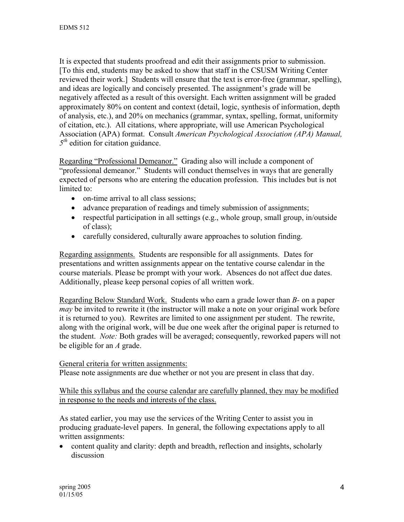It is expected that students proofread and edit their assignments prior to submission. [To this end, students may be asked to show that staff in the CSUSM Writing Center reviewed their work.] Students will ensure that the text is error-free (grammar, spelling), and ideas are logically and concisely presented. The assignment's grade will be negatively affected as a result of this oversight. Each written assignment will be graded approximately 80% on content and context (detail, logic, synthesis of information, depth of analysis, etc.), and 20% on mechanics (grammar, syntax, spelling, format, uniformity of citation, etc.). All citations, where appropriate, will use American Psychological Association (APA) format. Consult *American Psychological Association (APA) Manual, 5<sup>th</sup>* edition for citation guidance.

Regarding "Professional Demeanor." Grading also will include a component of "professional demeanor." Students will conduct themselves in ways that are generally expected of persons who are entering the education profession. This includes but is not limited to:

- on-time arrival to all class sessions;
- advance preparation of readings and timely submission of assignments;
- respectful participation in all settings (e.g., whole group, small group, in/outside of class);
- carefully considered, culturally aware approaches to solution finding.

Regarding assignments. Students are responsible for all assignments. Dates for presentations and written assignments appear on the tentative course calendar in the course materials. Please be prompt with your work. Absences do not affect due dates. Additionally, please keep personal copies of all written work.

Regarding Below Standard Work. Students who earn a grade lower than *B-* on a paper *may* be invited to rewrite it (the instructor will make a note on your original work before it is returned to you). Rewrites are limited to one assignment per student. The rewrite, along with the original work, will be due one week after the original paper is returned to the student. *Note:* Both grades will be averaged; consequently, reworked papers will not be eligible for an *A* grade.

### General criteria for written assignments:

Please note assignments are due whether or not you are present in class that day.

While this syllabus and the course calendar are carefully planned, they may be modified in response to the needs and interests of the class.

As stated earlier, you may use the services of the Writing Center to assist you in producing graduate-level papers. In general, the following expectations apply to all written assignments:

• content quality and clarity: depth and breadth, reflection and insights, scholarly discussion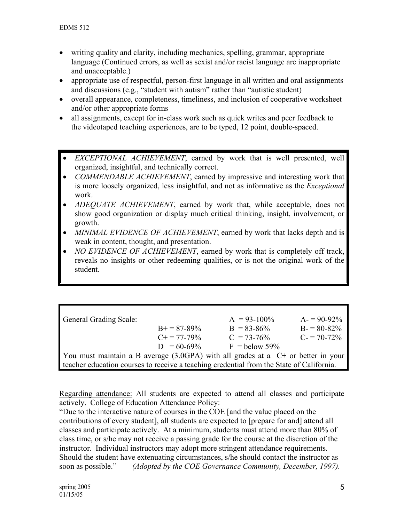- writing quality and clarity, including mechanics, spelling, grammar, appropriate language (Continued errors, as well as sexist and/or racist language are inappropriate and unacceptable.)
- appropriate use of respectful, person-first language in all written and oral assignments and discussions (e.g., "student with autism" rather than "autistic student)
- overall appearance, completeness, timeliness, and inclusion of cooperative worksheet and/or other appropriate forms
- all assignments, except for in-class work such as quick writes and peer feedback to the videotaped teaching experiences, are to be typed, 12 point, double-spaced.
- *EXCEPTIONAL ACHIEVEMENT*, earned by work that is well presented, well organized, insightful, and technically correct.
- *COMMENDABLE ACHIEVEMENT*, earned by impressive and interesting work that is more loosely organized, less insightful, and not as informative as the *Exceptional*  work.
- *ADEQUATE ACHIEVEMENT*, earned by work that, while acceptable, does not show good organization or display much critical thinking, insight, involvement, or growth.
- *MINIMAL EVIDENCE OF ACHIEVEMENT*, earned by work that lacks depth and is weak in content, thought, and presentation.
- *NO EVIDENCE OF ACHIEVEMENT*, earned by work that is completely off track, reveals no insights or other redeeming qualities, or is not the original work of the student.

| <b>General Grading Scale:</b>                                                            |                       | $A = 93 - 100\%$ | $A = 90-92\%$ |
|------------------------------------------------------------------------------------------|-----------------------|------------------|---------------|
|                                                                                          | $B+=87-89\%$          | $B = 83 - 86\%$  | $B = 80-82%$  |
|                                                                                          | $C_{\pm} = 77 - 79\%$ | $C = 73-76%$     | $C = 70-72\%$ |
|                                                                                          | $D = 60-69\%$         | $F =$ below 59%  |               |
| You must maintain a B average $(3.0GPA)$ with all grades at a $C+$ or better in your     |                       |                  |               |
| teacher education courses to receive a teaching credential from the State of California. |                       |                  |               |

Regarding attendance: All students are expected to attend all classes and participate actively. College of Education Attendance Policy:

"Due to the interactive nature of courses in the COE [and the value placed on the contributions of every student], all students are expected to [prepare for and] attend all classes and participate actively. At a minimum, students must attend more than 80% of class time, or s/he may not receive a passing grade for the course at the discretion of the instructor. Individual instructors may adopt more stringent attendance requirements. Should the student have extenuating circumstances, s/he should contact the instructor as soon as possible." *(Adopted by the COE Governance Community, December, 1997).*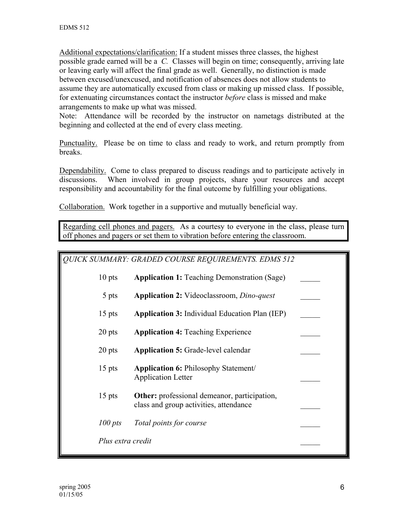Additional expectations/clarification: If a student misses three classes, the highest possible grade earned will be a *C.* Classes will begin on time; consequently, arriving late or leaving early will affect the final grade as well. Generally, no distinction is made between excused/unexcused, and notification of absences does not allow students to assume they are automatically excused from class or making up missed class. If possible, for extenuating circumstances contact the instructor *before* class is missed and make arrangements to make up what was missed.

Note: Attendance will be recorded by the instructor on nametags distributed at the beginning and collected at the end of every class meeting.

Punctuality. Please be on time to class and ready to work, and return promptly from breaks.

Dependability. Come to class prepared to discuss readings and to participate actively in discussions. When involved in group projects, share your resources and accept responsibility and accountability for the final outcome by fulfilling your obligations.

Collaboration. Work together in a supportive and mutually beneficial way.

Regarding cell phones and pagers. As a courtesy to everyone in the class, please turn off phones and pagers or set them to vibration before entering the classroom.

| <b>QUICK SUMMARY: GRADED COURSE REQUIREMENTS. EDMS 512</b> |                                                                                               |  |
|------------------------------------------------------------|-----------------------------------------------------------------------------------------------|--|
| $10$ pts                                                   | <b>Application 1:</b> Teaching Demonstration (Sage)                                           |  |
| 5 pts                                                      | <b>Application 2:</b> Videoclassroom, <i>Dino-quest</i>                                       |  |
| $15$ pts                                                   | <b>Application 3:</b> Individual Education Plan (IEP)                                         |  |
| 20 pts                                                     | <b>Application 4: Teaching Experience</b>                                                     |  |
| 20 pts                                                     | <b>Application 5:</b> Grade-level calendar                                                    |  |
| $15$ pts                                                   | <b>Application 6: Philosophy Statement/</b><br><b>Application Letter</b>                      |  |
| $15$ pts                                                   | <b>Other:</b> professional demeanor, participation,<br>class and group activities, attendance |  |
| $100$ pts                                                  | Total points for course                                                                       |  |
| Plus extra credit                                          |                                                                                               |  |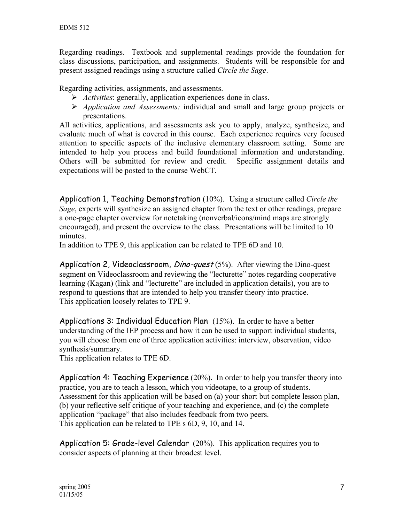Regarding readings. Textbook and supplemental readings provide the foundation for class discussions, participation, and assignments. Students will be responsible for and present assigned readings using a structure called *Circle the Sage*.

Regarding activities, assignments, and assessments.

- ¾ *Activities*: generally, application experiences done in class.
- ¾ *Application and Assessments:* individual and small and large group projects or presentations.

All activities, applications, and assessments ask you to apply, analyze, synthesize, and evaluate much of what is covered in this course. Each experience requires very focused attention to specific aspects of the inclusive elementary classroom setting. Some are intended to help you process and build foundational information and understanding. Others will be submitted for review and credit. Specific assignment details and expectations will be posted to the course WebCT.

Application 1, Teaching Demonstration (10%). Using a structure called *Circle the Sage*, experts will synthesize an assigned chapter from the text or other readings, prepare a one-page chapter overview for notetaking (nonverbal/icons/mind maps are strongly encouraged), and present the overview to the class. Presentations will be limited to 10 minutes.

In addition to TPE 9, this application can be related to TPE 6D and 10.

Application 2, Videoclassroom, *Dino-quest*  $(5%)$ . After viewing the Dino-quest segment on Videoclassroom and reviewing the "lecturette" notes regarding cooperative learning (Kagan) (link and "lecturette" are included in application details), you are to respond to questions that are intended to help you transfer theory into practice. This application loosely relates to TPE 9.

Applications 3: Individual Education Plan (15%). In order to have a better understanding of the IEP process and how it can be used to support individual students, you will choose from one of three application activities: interview, observation, video synthesis/summary.

This application relates to TPE 6D.

Application 4: Teaching Experience (20%). In order to help you transfer theory into practice, you are to teach a lesson, which you videotape, to a group of students. Assessment for this application will be based on (a) your short but complete lesson plan, (b) your reflective self critique of your teaching and experience, and (c) the complete application "package" that also includes feedback from two peers. This application can be related to TPE s 6D, 9, 10, and 14.

Application 5: Grade-level Calendar (20%). This application requires you to consider aspects of planning at their broadest level.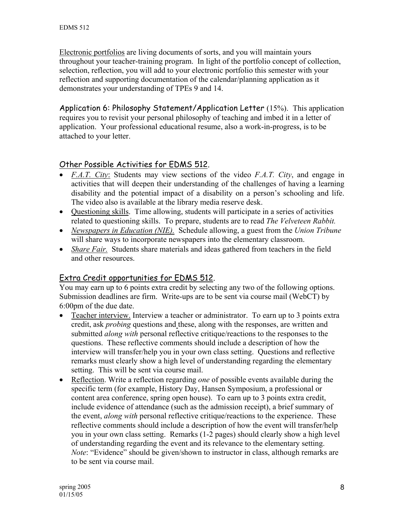Electronic portfolios are living documents of sorts, and you will maintain yours throughout your teacher-training program. In light of the portfolio concept of collection, selection, reflection, you will add to your electronic portfolio this semester with your reflection and supporting documentation of the calendar/planning application as it demonstrates your understanding of TPEs 9 and 14.

Application 6: Philosophy Statement/Application Letter (15%). This application requires you to revisit your personal philosophy of teaching and imbed it in a letter of application. Your professional educational resume, also a work-in-progress, is to be attached to your letter.

# Other Possible Activities for EDMS 512.

- *F.A.T. City*: Students may view sections of the video *F.A.T. City*, and engage in activities that will deepen their understanding of the challenges of having a learning disability and the potential impact of a disability on a person's schooling and life. The video also is available at the library media reserve desk.
- Questioning skills. Time allowing, students will participate in a series of activities related to questioning skills. To prepare, students are to read *The Velveteen Rabbit.*
- *Newspapers in Education (NIE).* Schedule allowing, a guest from the *Union Tribune* will share ways to incorporate newspapers into the elementary classroom.
- *Share Fair.* Students share materials and ideas gathered from teachers in the field and other resources.

# Extra Credit opportunities for EDMS 512.

You may earn up to 6 points extra credit by selecting any two of the following options. Submission deadlines are firm. Write-ups are to be sent via course mail (WebCT) by 6:00pm of the due date.

- Teacher interview. Interview a teacher or administrator. To earn up to 3 points extra credit, ask *probing* questions and these, along with the responses, are written and submitted *along with* personal reflective critique/reactions to the responses to the questions. These reflective comments should include a description of how the interview will transfer/help you in your own class setting. Questions and reflective remarks must clearly show a high level of understanding regarding the elementary setting. This will be sent via course mail.
- Reflection. Write a reflection regarding *one* of possible events available during the specific term (for example, History Day, Hansen Symposium, a professional or content area conference, spring open house). To earn up to 3 points extra credit, include evidence of attendance (such as the admission receipt), a brief summary of the event, *along with* personal reflective critique/reactions to the experience. These reflective comments should include a description of how the event will transfer/help you in your own class setting. Remarks (1-2 pages) should clearly show a high level of understanding regarding the event and its relevance to the elementary setting. *Note*: "Evidence" should be given/shown to instructor in class, although remarks are to be sent via course mail.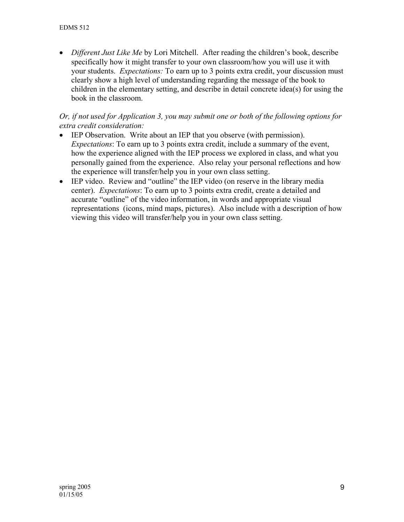• *Different Just Like Me* by Lori Mitchell. After reading the children's book, describe specifically how it might transfer to your own classroom/how you will use it with your students. *Expectations:* To earn up to 3 points extra credit, your discussion must clearly show a high level of understanding regarding the message of the book to children in the elementary setting, and describe in detail concrete idea(s) for using the book in the classroom.

### *Or, if not used for Application 3, you may submit one or both of the following options for extra credit consideration:*

- IEP Observation. Write about an IEP that you observe (with permission). *Expectations*: To earn up to 3 points extra credit, include a summary of the event, how the experience aligned with the IEP process we explored in class, and what you personally gained from the experience. Also relay your personal reflections and how the experience will transfer/help you in your own class setting.
- IEP video. Review and "outline" the IEP video (on reserve in the library media center). *Expectations*: To earn up to 3 points extra credit, create a detailed and accurate "outline" of the video information, in words and appropriate visual representations (icons, mind maps, pictures). Also include with a description of how viewing this video will transfer/help you in your own class setting.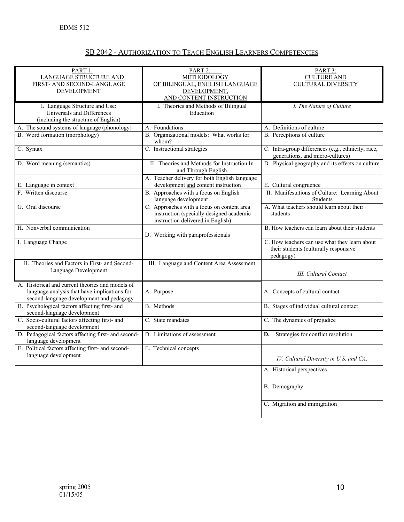|--|

| PART 1:                                             | PART 2:                                       | PART 3:                                                          |
|-----------------------------------------------------|-----------------------------------------------|------------------------------------------------------------------|
| <b>LANGUAGE STRUCTURE AND</b>                       | METHODOLOGY                                   | <b>CULTURE AND</b>                                               |
| FIRST- AND SECOND-LANGUAGE                          | OF BILINGUAL, ENGLISH LANGUAGE                | <b>CULTURAL DIVERSITY</b>                                        |
| <b>DEVELOPMENT</b>                                  | DEVELOPMENT,                                  |                                                                  |
|                                                     | AND CONTENT INSTRUCTION                       |                                                                  |
| I. Language Structure and Use:                      | I. Theories and Methods of Bilingual          | I. The Nature of Culture                                         |
| Universals and Differences                          | Education                                     |                                                                  |
| (including the structure of English)                |                                               |                                                                  |
| A. The sound systems of language (phonology)        | A. Foundations                                | A. Definitions of culture                                        |
| B. Word formation (morphology)                      | B. Organizational models: What works for      | B. Perceptions of culture                                        |
|                                                     | whom?                                         |                                                                  |
| C. Syntax                                           | C. Instructional strategies                   | C. Intra-group differences (e.g., ethnicity, race,               |
|                                                     |                                               | generations, and micro-cultures)                                 |
| D. Word meaning (semantics)                         | II. Theories and Methods for Instruction In   | D. Physical geography and its effects on culture                 |
|                                                     | and Through English                           |                                                                  |
|                                                     | A. Teacher delivery for both English language |                                                                  |
|                                                     | development and content instruction           |                                                                  |
| E. Language in context<br>F. Written discourse      | B. Approaches with a focus on English         | E. Cultural congruence                                           |
|                                                     |                                               | II. Manifestations of Culture: Learning About<br><b>Students</b> |
|                                                     | language development                          |                                                                  |
| G. Oral discourse                                   | C. Approaches with a focus on content area    | A. What teachers should learn about their                        |
|                                                     | instruction (specially designed academic      | students                                                         |
|                                                     | instruction delivered in English)             |                                                                  |
| H. Nonverbal communication                          |                                               | B. How teachers can learn about their students                   |
|                                                     | D. Working with paraprofessionals             |                                                                  |
| I. Language Change                                  |                                               | C. How teachers can use what they learn about                    |
|                                                     |                                               | their students (culturally responsive                            |
|                                                     |                                               | pedagogy)                                                        |
| II. Theories and Factors in First- and Second-      | III. Language and Content Area Assessment     |                                                                  |
| Language Development                                |                                               | <b>III.</b> Cultural Contact                                     |
|                                                     |                                               |                                                                  |
| A. Historical and current theories and models of    |                                               |                                                                  |
| language analysis that have implications for        | A. Purpose                                    | A. Concepts of cultural contact                                  |
| second-language development and pedagogy            |                                               |                                                                  |
| B. Psychological factors affecting first- and       | B. Methods                                    | B. Stages of individual cultural contact                         |
| second-language development                         |                                               |                                                                  |
| C. Socio-cultural factors affecting first- and      | C. State mandates                             | C. The dynamics of prejudice                                     |
| second-language development                         |                                               |                                                                  |
| D. Pedagogical factors affecting first- and second- | D. Limitations of assessment                  | D. Strategies for conflict resolution                            |
| language development                                |                                               |                                                                  |
| E. Political factors affecting first- and second-   | E. Technical concepts                         |                                                                  |
| language development                                |                                               | IV. Cultural Diversity in U.S. and CA.                           |
|                                                     |                                               |                                                                  |
|                                                     |                                               | A. Historical perspectives                                       |
|                                                     |                                               |                                                                  |
|                                                     |                                               | B. Demography                                                    |
|                                                     |                                               |                                                                  |
|                                                     |                                               |                                                                  |
|                                                     |                                               | C. Migration and immigration                                     |
|                                                     |                                               |                                                                  |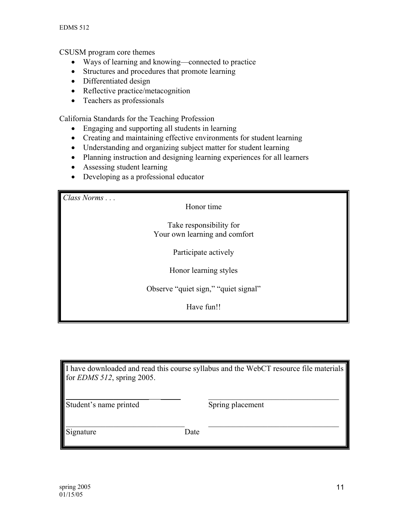CSUSM program core themes

- Ways of learning and knowing—connected to practice
- Structures and procedures that promote learning
- Differentiated design
- Reflective practice/metacognition
- Teachers as professionals

California Standards for the Teaching Profession

- Engaging and supporting all students in learning
- Creating and maintaining effective environments for student learning
- Understanding and organizing subject matter for student learning
- Planning instruction and designing learning experiences for all learners
- Assessing student learning
- Developing as a professional educator

*Class Norms . . .* 

Honor time

Take responsibility for Your own learning and comfort

Participate actively

Honor learning styles

Observe "quiet sign," "quiet signal"

Have fun!!

I have downloaded and read this course syllabus and the WebCT resource file materials for *EDMS 512*, spring 2005.

\_\_\_\_\_\_\_\_\_\_\_\_\_\_\_\_\_\_\_\_\_ \_\_\_\_\_ \_\_\_\_\_\_\_\_\_\_\_\_\_\_\_\_\_\_\_\_\_\_\_\_\_\_\_\_\_\_\_\_\_

 $\_$  , and the contribution of  $\mathcal{L}_\mathcal{L}$  , and the contribution of  $\mathcal{L}_\mathcal{L}$  , and the contribution of  $\mathcal{L}_\mathcal{L}$ 

Student's name printed Spring placement

Signature Date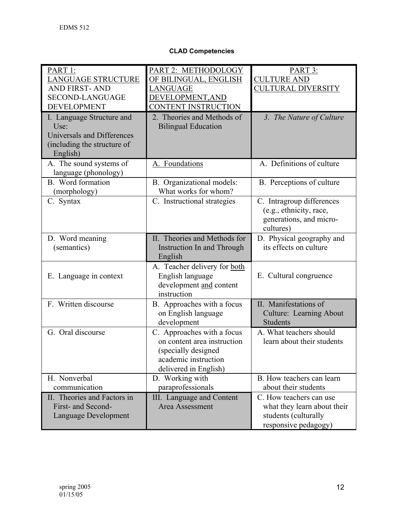#### **CLAD Competencies**

| PART 1:<br><b>LANGUAGE STRUCTURE</b><br><b>AND FIRST-AND</b><br><b>SECOND-LANGUAGE</b><br><b>DEVELOPMENT</b> | PART 2: METHODOLOGY<br>OF BILINGUAL, ENGLISH<br>LANGUAGE<br>DEVELOPMENT, AND<br><b>CONTENT INSTRUCTION</b>                        | PART 3:<br><b>CULTURE AND</b><br><b>CULTURAL DIVERSITY</b>                                             |
|--------------------------------------------------------------------------------------------------------------|-----------------------------------------------------------------------------------------------------------------------------------|--------------------------------------------------------------------------------------------------------|
| I. Language Structure and<br>Use:<br>Universals and Differences<br>(including the structure of<br>English)   | 2. Theories and Methods of<br><b>Bilingual Education</b>                                                                          | 3. The Nature of Culture                                                                               |
| A. The sound systems of<br>language (phonology)                                                              | A. Foundations                                                                                                                    | A. Definitions of culture                                                                              |
| B. Word formation<br>(morphology)                                                                            | B. Organizational models:<br>What works for whom?                                                                                 | B. Perceptions of culture                                                                              |
| C. Syntax                                                                                                    | C. Instructional strategies                                                                                                       | C. Intragroup differences<br>(e.g., ethnicity, race,<br>generations, and micro-<br>cultures)           |
| D. Word meaning<br>(semantics)                                                                               | II. Theories and Methods for<br>Instruction In and Through<br>English                                                             | D. Physical geography and<br>its effects on culture                                                    |
| E. Language in context                                                                                       | A. Teacher delivery for both<br>English language<br>development and content<br>instruction                                        | E. Cultural congruence                                                                                 |
| F. Written discourse                                                                                         | B. Approaches with a focus<br>on English language<br>development                                                                  | II. Manifestations of<br><b>Culture: Learning About</b><br><b>Students</b>                             |
| G. Oral discourse                                                                                            | C. Approaches with a focus<br>on content area instruction<br>(specially designed<br>academic instruction<br>delivered in English) | A. What teachers should<br>learn about their students                                                  |
| H. Nonverbal<br>communication                                                                                | D. Working with<br>paraprofessionals                                                                                              | B. How teachers can learn<br>about their students                                                      |
| II. Theories and Factors in<br>First- and Second-<br>Language Development                                    | III. Language and Content<br>Area Assessment                                                                                      | C. How teachers can use<br>what they learn about their<br>students (culturally<br>responsive pedagogy) |